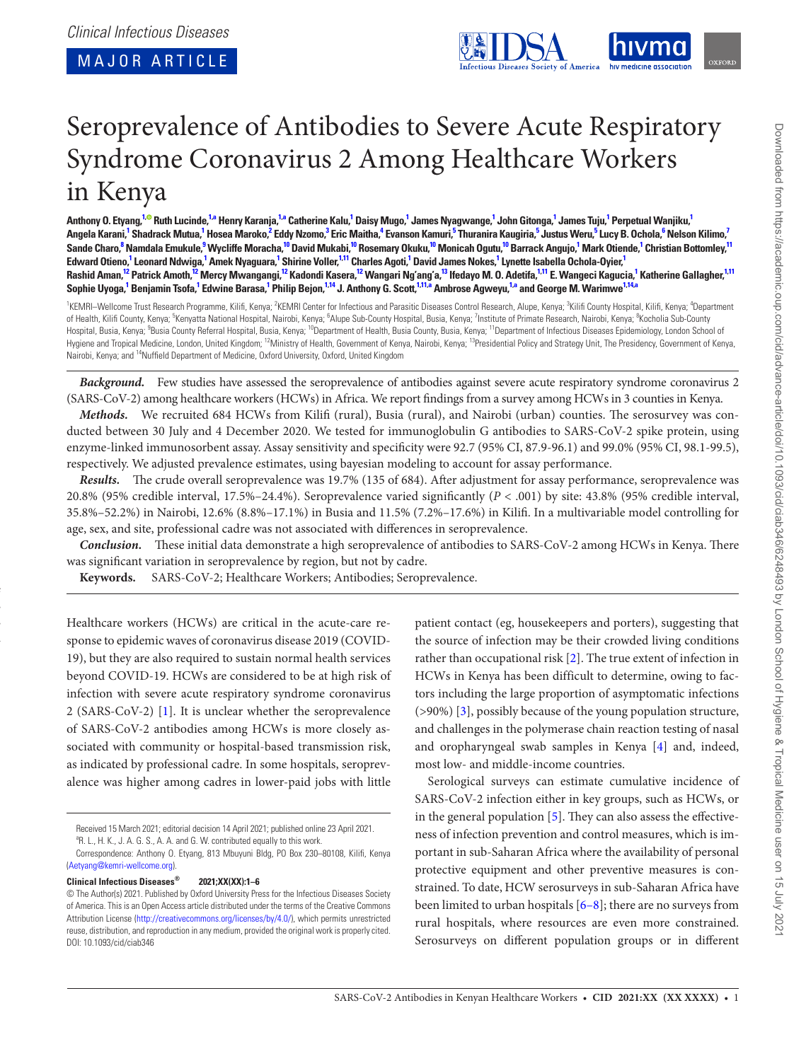<span id="page-0-11"></span><span id="page-0-8"></span><span id="page-0-7"></span><span id="page-0-4"></span><span id="page-0-3"></span>

# Seroprevalence of Antibodies to Severe Acute Respiratory Syndrome Coronavirus 2 Among Healthcare Workers in Kenya

Anthony O. Etyang,<sup>[1](#page-0-0),©</sup> Ruth Lucinde,<sup>1[,a](#page-0-1)</sup> Henry Karanja,<sup>1,a</sup> Catherine Kalu,<sup>1</sup> Daisy Mugo,<sup>1</sup> James Nyagwange,<sup>1</sup> John Gitonga,<sup>1</sup> James Tuju,<sup>1</sup> Perpetual Wanjiku,<sup>1</sup> Angela Karani,<sup>[1](#page-0-0)</sup> Shadrack Mutua,<sup>1</sup> Hosea Maroko,<sup>[2](#page-0-2)</sup> Eddy Nzomo,<sup>[3](#page-0-3)</sup> Eric Maitha,<sup>[4](#page-0-4)</sup> Evanson Kamuri,<sup>[5](#page-0-5)</sup> Thuranira Kaugiria,<sup>5</sup> Justus Weru,<sup>5</sup> Lucy B. Ochola,<sup>[6](#page-0-6)</sup> Nelson Kilimo,<sup>[7](#page-0-7)</sup> Sande Charo,<sup>[8](#page-0-8)</sup> Namdala Emukule,<sup>[9](#page-0-9)</sup> Wycliffe Moracha,<sup>[10](#page-0-10)</sup> David Mukabi,<sup>[1](#page-0-0)0</sup> Rosemary Okuku,<sup>10</sup> Monicah Ogutu,<sup>10</sup> Barrack Angujo,<sup>1</sup> Mark Otiende,<sup>1</sup> Christian Bottomley,<sup>[11](#page-0-11)</sup> Edward Otieno,<sup>[1](#page-0-0)</sup> Leonard Ndwiga,<sup>1</sup> Amek Nyaguara,<sup>1</sup> Shirine Voller,<sup>1[,11](#page-0-11)</sup> Charles Agoti,<sup>1</sup> David James Nokes,<sup>1</sup> Lynette Isabella Ochola-Oyier,<sup>1</sup> Rashid Aman,<sup>[12](#page-0-12)</sup> Patrick Amoth,<sup>[1](#page-0-0)2</sup> Mercy Mwangangi,<sup>12</sup> Kadondi Kasera,<sup>12</sup> Wangari Ngʻangʻa,<sup>13</sup> Ifedayo M. O. Adetifa,<sup>1[,11](#page-0-11)</sup> E. Wangeci Kagucia,<sup>1</sup> Katherine Gallagher,<sup>1,11</sup> Sophie Uyoga,<sup>[1](#page-0-0)</sup> Benjamin Tsofa,<sup>1</sup> Edwine Barasa,<sup>1</sup> Philip Bejon,<sup>[1,](#page-0-0)[14](#page-0-14)</sup> J. Anthony G. Scott,<sup>1[,11,](#page-0-11)[a](#page-0-1)</sup> Ambrose Agweyu,<sup>1[,a](#page-0-1)</sup> and George M. Warimwe<sup>1,14,a</sup>

<span id="page-0-12"></span><span id="page-0-10"></span><span id="page-0-9"></span><span id="page-0-6"></span><span id="page-0-5"></span><span id="page-0-2"></span><span id="page-0-0"></span><sup>1</sup>KEMRI-Wellcome Trust Research Programme, Kilifi, Kenya; <sup>2</sup>KEMRI Center for Infectious and Parasitic Diseases Control Research, Alupe, Kenya; <sup>3</sup>Kilifi County Hospital, Kilifi, Kenya; <sup>4</sup>Department of Health, Kilifi County, Kenya; <sup>5</sup>Kenyatta National Hospital, Nairobi, Kenya; <sup>6</sup>Alupe Sub-County Hospital, Busia, Kenya; <sup>7</sup>Institute of Primate Research, Nairobi, Kenya; <sup>8</sup>Kocholia Sub-County Hospital, Busia, Kenya; <sup>9</sup>Busia County Referral Hospital, Busia, Kenya; <sup>10</sup>Department of Health, Busia County, Busia, Kenya; <sup>11</sup>Department of Infectious Diseases Epidemiology, London School of Hygiene and Tropical Medicine, London, United Kingdom; <sup>12</sup>Ministry of Health, Government of Kenya, Nairobi, Kenya; <sup>13</sup>Presidential Policy and Strategy Unit, The Presidency, Government of Kenya, Nairobi, Kenya; and 14Nuffield Department of Medicine, Oxford University, Oxford, United Kingdom

<span id="page-0-14"></span>Background. Few studies have assessed the seroprevalence of antibodies against severe acute respiratory syndrome coronavirus 2 (SARS-CoV-2) among healthcare workers (HCWs) in Africa. We report findings from a survey among HCWs in 3 counties in Kenya.

*Methods.* We recruited 684 HCWs from Kilifi (rural), Busia (rural), and Nairobi (urban) counties. The serosurvey was conducted between 30 July and 4 December 2020. We tested for immunoglobulin G antibodies to SARS-CoV-2 spike protein, using enzyme-linked immunosorbent assay. Assay sensitivity and specificity were 92.7 (95% CI, 87.9-96.1) and 99.0% (95% CI, 98.1-99.5), respectively. We adjusted prevalence estimates, using bayesian modeling to account for assay performance.

*Results.* The crude overall seroprevalence was 19.7% (135 of 684). After adjustment for assay performance, seroprevalence was 20.8% (95% credible interval, 17.5%–24.4%). Seroprevalence varied significantly (*P* < .001) by site: 43.8% (95% credible interval, 35.8%–52.2%) in Nairobi, 12.6% (8.8%–17.1%) in Busia and 11.5% (7.2%–17.6%) in Kilifi. In a multivariable model controlling for age, sex, and site, professional cadre was not associated with differences in seroprevalence.

*Conclusion.* These initial data demonstrate a high seroprevalence of antibodies to SARS-CoV-2 among HCWs in Kenya. There was significant variation in seroprevalence by region, but not by cadre.

**Keywords.** SARS-CoV-2; Healthcare Workers; Antibodies; Seroprevalence.

Healthcare workers (HCWs) are critical in the acute-care response to epidemic waves of coronavirus disease 2019 (COVID-19), but they are also required to sustain normal health services beyond COVID-19. HCWs are considered to be at high risk of infection with severe acute respiratory syndrome coronavirus 2 (SARS-CoV-2) [[1](#page-5-0)]. It is unclear whether the seroprevalence of SARS-CoV-2 antibodies among HCWs is more closely associated with community or hospital-based transmission risk, as indicated by professional cadre. In some hospitals, seroprevalence was higher among cadres in lower-paid jobs with little

<span id="page-0-1"></span><sup>a</sup>R. L., H. K., J. A. G. S., A. A. and G. W. contributed equally to this work.

**Clinical Infectious Diseases® 2021;XX(XX):1–6**

**Article summary:** In this study of antibodies to severe acute respiratory syndrome coronavirus 2 among healthcare workers  $\ddot{\phantom{a}}$  $\mathbf{r}$ 

<span id="page-0-13"></span>patient contact (eg, housekeepers and porters), suggesting that the source of infection may be their crowded living conditions rather than occupational risk [\[2\]](#page-5-1). The true extent of infection in HCWs in Kenya has been difficult to determine, owing to factors including the large proportion of asymptomatic infections (>90%) [\[3\]](#page-5-2), possibly because of the young population structure, and challenges in the polymerase chain reaction testing of nasal and oropharyngeal swab samples in Kenya [\[4\]](#page-5-3) and, indeed, most low- and middle-income countries.

Serological surveys can estimate cumulative incidence of SARS-CoV-2 infection either in key groups, such as HCWs, or in the general population [[5](#page-5-4)]. They can also assess the effectiveness of infection prevention and control measures, which is important in sub-Saharan Africa where the availability of personal protective equipment and other preventive measures is constrained. To date, HCW serosurveys in sub-Saharan Africa have been limited to urban hospitals [[6](#page-5-5)[–8\]](#page-5-6); there are no surveys from rural hospitals, where resources are even more constrained. Serosurveys on different population groups or in different

Received 15 March 2021; editorial decision 14 April 2021; published online 23 April 2021.

Correspondence: Anthony O. Etyang, 813 Mbuyuni Bldg, PO Box 230–80108, Kilifi, Kenya ([Aetyang@kemri-wellcome.org](mailto:Aetyang@kemri-wellcome.org?subject=)).

<sup>©</sup> The Author(s) 2021. Published by Oxford University Press for the Infectious Diseases Society of America. This is an Open Access article distributed under the terms of the Creative Commons Attribution License ([http://creativecommons.org/licenses/by/4.0/\)](http://creativecommons.org/licenses/by/4.0/), which permits unrestricted reuse, distribution, and reproduction in any medium, provided the original work is properly cited. DOI: 10.1093/cid/ciab346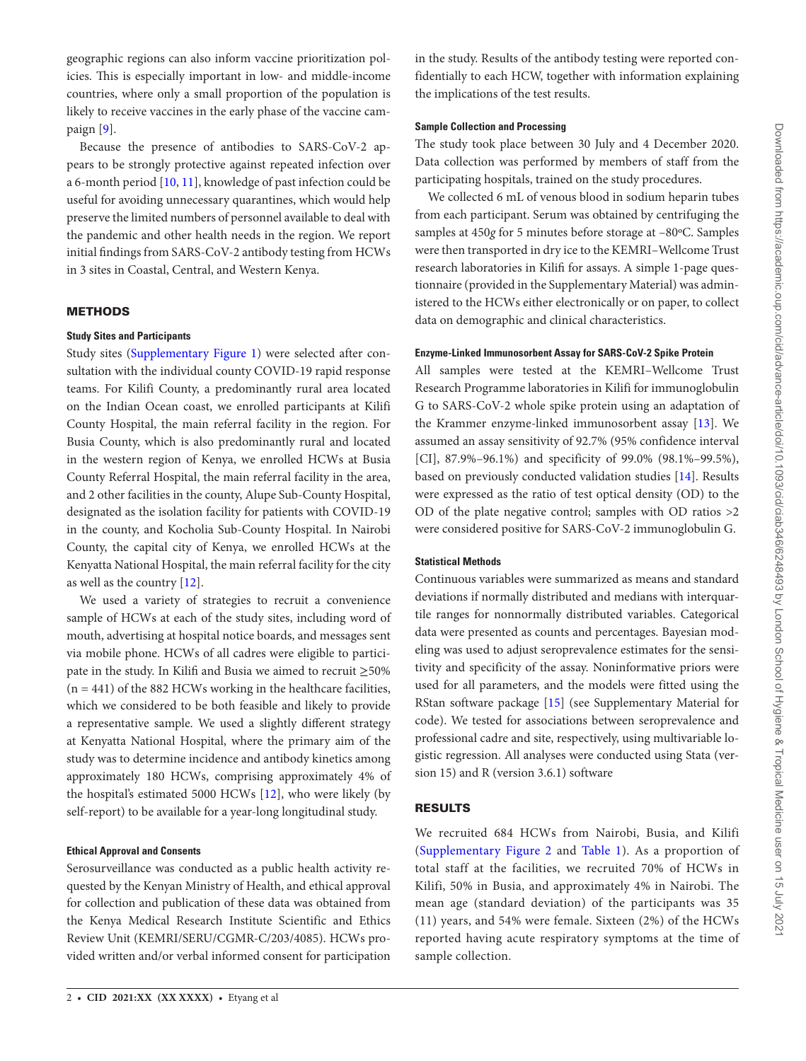geographic regions can also inform vaccine prioritization policies. This is especially important in low- and middle-income countries, where only a small proportion of the population is likely to receive vaccines in the early phase of the vaccine campaign [[9](#page-5-7)].

Because the presence of antibodies to SARS-CoV-2 appears to be strongly protective against repeated infection over a 6-month period [[10,](#page-5-8) [11](#page-5-9)], knowledge of past infection could be useful for avoiding unnecessary quarantines, which would help preserve the limited numbers of personnel available to deal with the pandemic and other health needs in the region. We report initial findings from SARS-CoV-2 antibody testing from HCWs in 3 sites in Coastal, Central, and Western Kenya.

# METHODS

# **Study Sites and Participants**

Study sites ([Supplementary Figure 1](http://academic.oup.com/cid/article-lookup/doi/10.1093/cid/ciab346#supplementary-data)) were selected after consultation with the individual county COVID-19 rapid response teams. For Kilifi County, a predominantly rural area located on the Indian Ocean coast, we enrolled participants at Kilifi County Hospital, the main referral facility in the region. For Busia County, which is also predominantly rural and located in the western region of Kenya, we enrolled HCWs at Busia County Referral Hospital, the main referral facility in the area, and 2 other facilities in the county, Alupe Sub-County Hospital, designated as the isolation facility for patients with COVID-19 in the county, and Kocholia Sub-County Hospital. In Nairobi County, the capital city of Kenya, we enrolled HCWs at the Kenyatta National Hospital, the main referral facility for the city as well as the country [[12\]](#page-5-10).

We used a variety of strategies to recruit a convenience sample of HCWs at each of the study sites, including word of mouth, advertising at hospital notice boards, and messages sent via mobile phone. HCWs of all cadres were eligible to participate in the study. In Kilifi and Busia we aimed to recruit ≥50%  $(n = 441)$  of the 882 HCWs working in the healthcare facilities, which we considered to be both feasible and likely to provide a representative sample. We used a slightly different strategy at Kenyatta National Hospital, where the primary aim of the study was to determine incidence and antibody kinetics among approximately 180 HCWs, comprising approximately 4% of the hospital's estimated 5000 HCWs [[12\]](#page-5-10), who were likely (by self-report) to be available for a year-long longitudinal study.

# **Ethical Approval and Consents**

Serosurveillance was conducted as a public health activity requested by the Kenyan Ministry of Health, and ethical approval for collection and publication of these data was obtained from the Kenya Medical Research Institute Scientific and Ethics Review Unit (KEMRI/SERU/CGMR-C/203/4085). HCWs provided written and/or verbal informed consent for participation in the study. Results of the antibody testing were reported confidentially to each HCW, together with information explaining the implications of the test results.

# **Sample Collection and Processing**

The study took place between 30 July and 4 December 2020. Data collection was performed by members of staff from the participating hospitals, trained on the study procedures.

We collected 6 mL of venous blood in sodium heparin tubes from each participant. Serum was obtained by centrifuging the samples at 450*g* for 5 minutes before storage at –80ºC. Samples were then transported in dry ice to the KEMRI–Wellcome Trust research laboratories in Kilifi for assays. A simple 1-page questionnaire (provided in the Supplementary Material) was administered to the HCWs either electronically or on paper, to collect data on demographic and clinical characteristics.

# **Enzyme-Linked Immunosorbent Assay for SARS-CoV-2 Spike Protein**

All samples were tested at the KEMRI–Wellcome Trust Research Programme laboratories in Kilifi for immunoglobulin G to SARS-CoV-2 whole spike protein using an adaptation of the Krammer enzyme-linked immunosorbent assay [\[13](#page-5-11)]. We assumed an assay sensitivity of 92.7% (95% confidence interval [CI], 87.9%–96.1%) and specificity of 99.0% (98.1%–99.5%), based on previously conducted validation studies [\[14\]](#page-5-12). Results were expressed as the ratio of test optical density (OD) to the OD of the plate negative control; samples with OD ratios >2 were considered positive for SARS-CoV-2 immunoglobulin G.

# **Statistical Methods**

Continuous variables were summarized as means and standard deviations if normally distributed and medians with interquartile ranges for nonnormally distributed variables. Categorical data were presented as counts and percentages. Bayesian modeling was used to adjust seroprevalence estimates for the sensitivity and specificity of the assay. Noninformative priors were used for all parameters, and the models were fitted using the RStan software package [\[15](#page-5-13)] (see Supplementary Material for code). We tested for associations between seroprevalence and professional cadre and site, respectively, using multivariable logistic regression. All analyses were conducted using Stata (version 15) and R (version 3.6.1) software

# RESULTS

We recruited 684 HCWs from Nairobi, Busia, and Kilifi [\(Supplementary Figure 2](http://academic.oup.com/cid/article-lookup/doi/10.1093/cid/ciab346#supplementary-data) and [Table 1\)](#page-2-0). As a proportion of total staff at the facilities, we recruited 70% of HCWs in Kilifi, 50% in Busia, and approximately 4% in Nairobi. The mean age (standard deviation) of the participants was 35 (11) years, and 54% were female. Sixteen (2%) of the HCWs reported having acute respiratory symptoms at the time of sample collection.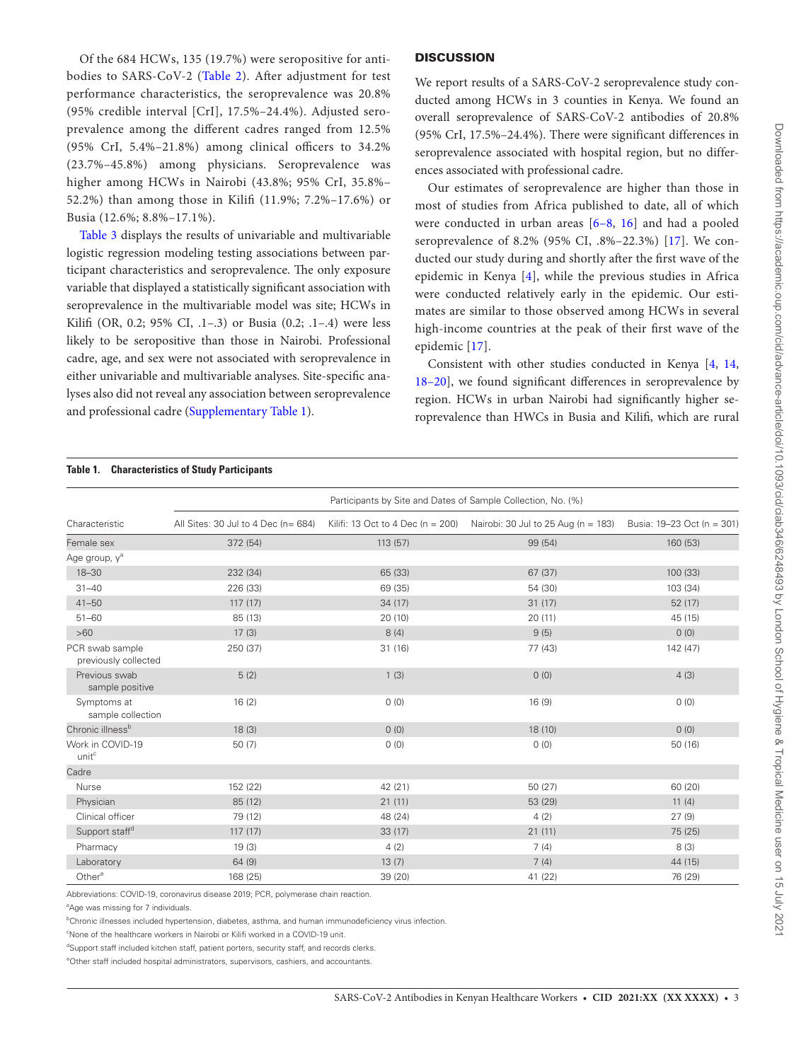Of the 684 HCWs, 135 (19.7%) were seropositive for antibodies to SARS-CoV-2 ([Table 2](#page-3-0)). After adjustment for test performance characteristics, the seroprevalence was 20.8% (95% credible interval [CrI], 17.5%–24.4%). Adjusted seroprevalence among the different cadres ranged from 12.5% (95% CrI, 5.4%–21.8%) among clinical officers to 34.2% (23.7%–45.8%) among physicians. Seroprevalence was higher among HCWs in Nairobi (43.8%; 95% CrI, 35.8%– 52.2%) than among those in Kilifi (11.9%; 7.2%–17.6%) or Busia (12.6%; 8.8%–17.1%).

[Table 3](#page-3-1) displays the results of univariable and multivariable logistic regression modeling testing associations between participant characteristics and seroprevalence. The only exposure variable that displayed a statistically significant association with seroprevalence in the multivariable model was site; HCWs in Kilifi (OR, 0.2; 95% CI, .1–.3) or Busia (0.2; .1–.4) were less likely to be seropositive than those in Nairobi. Professional cadre, age, and sex were not associated with seroprevalence in either univariable and multivariable analyses. Site-specific analyses also did not reveal any association between seroprevalence and professional cadre ([Supplementary Table 1](http://academic.oup.com/cid/article-lookup/doi/10.1093/cid/ciab346#supplementary-data)).

# **DISCUSSION**

We report results of a SARS-CoV-2 seroprevalence study conducted among HCWs in 3 counties in Kenya. We found an overall seroprevalence of SARS-CoV-2 antibodies of 20.8% (95% CrI, 17.5%–24.4%). There were significant differences in seroprevalence associated with hospital region, but no differences associated with professional cadre.

Our estimates of seroprevalence are higher than those in most of studies from Africa published to date, all of which were conducted in urban areas [\[6](#page-5-5)–[8,](#page-5-6) [16\]](#page-5-14) and had a pooled seroprevalence of 8.2% (95% CI, .8%–22.3%) [[17](#page-5-15)]. We conducted our study during and shortly after the first wave of the epidemic in Kenya [[4](#page-5-3)], while the previous studies in Africa were conducted relatively early in the epidemic. Our estimates are similar to those observed among HCWs in several high-income countries at the peak of their first wave of the epidemic [\[17\]](#page-5-15).

Consistent with other studies conducted in Kenya [[4](#page-5-3), [14,](#page-5-12) [18](#page-5-16)[–20](#page-5-17)], we found significant differences in seroprevalence by region. HCWs in urban Nairobi had significantly higher seroprevalence than HWCs in Busia and Kilifi, which are rural

# <span id="page-2-0"></span>**Table 1. Characteristics of Study Participants**

| Characteristic                          | Participants by Site and Dates of Sample Collection, No. (%) |         |                                                                       |                            |  |
|-----------------------------------------|--------------------------------------------------------------|---------|-----------------------------------------------------------------------|----------------------------|--|
|                                         | All Sites: 30 Jul to 4 Dec (n= 684)                          |         | Kilifi: 13 Oct to 4 Dec (n = 200) Nairobi: 30 Jul to 25 Aug (n = 183) | Busia: 19-23 Oct (n = 301) |  |
| Female sex                              | 372 (54)                                                     | 113(57) | 99 (54)                                                               | 160 (53)                   |  |
| Age group, y <sup>a</sup>               |                                                              |         |                                                                       |                            |  |
| $18 - 30$                               | 232 (34)                                                     | 65 (33) | 67(37)                                                                | 100 (33)                   |  |
| $31 - 40$                               | 226 (33)                                                     | 69 (35) | 54 (30)                                                               | 103 (34)                   |  |
| $41 - 50$                               | 117(17)                                                      | 34(17)  | 31(17)                                                                | 52(17)                     |  |
| $51 - 60$                               | 85 (13)                                                      | 20(10)  | 20(11)                                                                | 45 (15)                    |  |
| >60                                     | 17(3)                                                        | 8(4)    | 9(5)                                                                  | 0(0)                       |  |
| PCR swab sample<br>previously collected | 250 (37)                                                     | 31(16)  | 77 (43)                                                               | 142 (47)                   |  |
| Previous swab<br>sample positive        | 5(2)                                                         | 1(3)    | 0(0)                                                                  | 4(3)                       |  |
| Symptoms at<br>sample collection        | 16(2)                                                        | 0(0)    | 16(9)                                                                 | 0(0)                       |  |
| Chronic illness <sup>b</sup>            | 18(3)                                                        | 0(0)    | 18 (10)                                                               | 0(0)                       |  |
| Work in COVID-19<br>unit <sup>c</sup>   | 50(7)                                                        | 0(0)    | 0(0)                                                                  | 50 (16)                    |  |
| Cadre                                   |                                                              |         |                                                                       |                            |  |
| Nurse                                   | 152 (22)                                                     | 42 (21) | 50 (27)                                                               | 60 (20)                    |  |
| Physician                               | 85 (12)                                                      | 21(11)  | 53 (29)                                                               | 11(4)                      |  |
| Clinical officer                        | 79 (12)                                                      | 48 (24) | 4(2)                                                                  | 27(9)                      |  |
| Support staff <sup>d</sup>              | 117(17)                                                      | 33(17)  | 21(11)                                                                | 75 (25)                    |  |
| Pharmacy                                | 19(3)                                                        | 4(2)    | 7(4)                                                                  | 8(3)                       |  |
| Laboratory                              | 64(9)                                                        | 13(7)   | 7(4)                                                                  | 44 (15)                    |  |
| Other <sup>e</sup>                      | 168 (25)                                                     | 39 (20) | 41 (22)                                                               | 76 (29)                    |  |

Abbreviations: COVID-19, coronavirus disease 2019; PCR, polymerase chain reaction.

<sup>a</sup>Age was missing for 7 individuals.

<sup>b</sup>Chronic illnesses included hypertension, diabetes, asthma, and human immunodeficiency virus infection.

<sup>c</sup>None of the healthcare workers in Nairobi or Kilifi worked in a COVID-19 unit.

<sup>d</sup>Support staff included kitchen staff, patient porters, security staff, and records clerks.

<sup>e</sup>Other staff included hospital administrators, supervisors, cashiers, and accountants.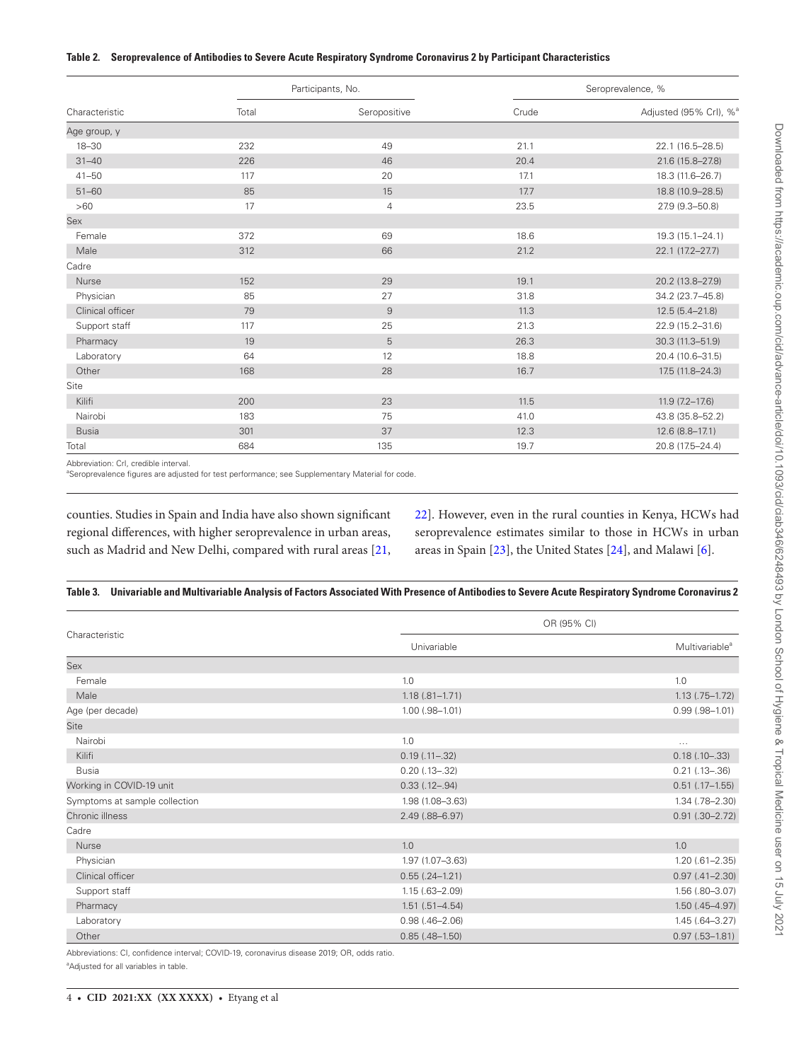# <span id="page-3-0"></span>**Table 2. Seroprevalence of Antibodies to Severe Acute Respiratory Syndrome Coronavirus 2 by Participant Characteristics**

|                  | Participants, No. |                | Seroprevalence, % |                                    |
|------------------|-------------------|----------------|-------------------|------------------------------------|
| Characteristic   | Total             | Seropositive   | Crude             | Adjusted (95% Crl), % <sup>a</sup> |
| Age group, y     |                   |                |                   |                                    |
| $18 - 30$        | 232               | 49             | 21.1              | 22.1 (16.5-28.5)                   |
| $31 - 40$        | 226               | 46             | 20.4              | 21.6 (15.8-27.8)                   |
| $41 - 50$        | 117               | 20             | 17.1              | 18.3 (11.6-26.7)                   |
| $51 - 60$        | 85                | 15             | 17.7              | 18.8 (10.9-28.5)                   |
| >60              | 17                | $\overline{4}$ | 23.5              | 27.9 (9.3-50.8)                    |
| Sex              |                   |                |                   |                                    |
| Female           | 372               | 69             | 18.6              | 19.3 (15.1-24.1)                   |
| Male             | 312               | 66             | 21.2              | 22.1 (17.2-27.7)                   |
| Cadre            |                   |                |                   |                                    |
| Nurse            | 152               | 29             | 19.1              | 20.2 (13.8-27.9)                   |
| Physician        | 85                | 27             | 31.8              | 34.2 (23.7-45.8)                   |
| Clinical officer | 79                | $\mathsf g$    | 11.3              | $12.5(5.4 - 21.8)$                 |
| Support staff    | 117               | 25             | 21.3              | 22.9 (15.2-31.6)                   |
| Pharmacy         | 19                | 5              | 26.3              | 30.3 (11.3-51.9)                   |
| Laboratory       | 64                | 12             | 18.8              | 20.4 (10.6-31.5)                   |
| Other            | 168               | 28             | 16.7              | 17.5 (11.8-24.3)                   |
| Site             |                   |                |                   |                                    |
| Kilifi           | 200               | 23             | 11.5              | $11.9(7.2 - 17.6)$                 |
| Nairobi          | 183               | 75             | 41.0              | 43.8 (35.8-52.2)                   |
| <b>Busia</b>     | 301               | 37             | 12.3              | 12.6 (8.8-17.1)                    |
| Total            | 684               | 135            | 19.7              | 20.8 (17.5-24.4)                   |

Abbreviation: CrI, credible interval.

<sup>a</sup>Seroprevalence figures are adjusted for test performance; see Supplementary Material for code.

counties. Studies in Spain and India have also shown significant regional differences, with higher seroprevalence in urban areas, such as Madrid and New Delhi, compared with rural areas [[21,](#page-5-18) [22](#page-5-19)]. However, even in the rural counties in Kenya, HCWs had seroprevalence estimates similar to those in HCWs in urban areas in Spain [[23](#page-5-20)], the United States [\[24](#page-5-21)], and Malawi [[6](#page-5-5)].

# <span id="page-3-1"></span>**Table 3. Univariable and Multivariable Analysis of Factors Associated With Presence of Antibodies to Severe Acute Respiratory Syndrome Coronavirus 2**

| Characteristic                | OR (95% CI)           |                            |  |
|-------------------------------|-----------------------|----------------------------|--|
|                               | Univariable           | Multivariable <sup>a</sup> |  |
| Sex                           |                       |                            |  |
| Female                        | 1.0                   | 1.0                        |  |
| Male                          | $1.18(.81 - 1.71)$    | $1.13(.75-1.72)$           |  |
| Age (per decade)              | $1.00$ $(.98 - 1.01)$ | $0.99$ $(.98 - 1.01)$      |  |
| <b>Site</b>                   |                       |                            |  |
| Nairobi                       | 1.0                   | $\cdots$                   |  |
| Kilifi                        | $0.19$ $(.11-.32)$    | $0.18(.10-.33)$            |  |
| <b>Busia</b>                  | $0.20$ (.13-.32)      | $0.21$ (.13-.36)           |  |
| Working in COVID-19 unit      | $0.33$ $(.12-.94)$    | $0.51$ $(.17-1.55)$        |  |
| Symptoms at sample collection | 1.98 (1.08-3.63)      | 1.34 (.78-2.30)            |  |
| Chronic illness               | 2.49 (.88-6.97)       | $0.91$ $(.30-2.72)$        |  |
| Cadre                         |                       |                            |  |
| Nurse                         | 1.0                   | 1.0                        |  |
| Physician                     | 1.97 (1.07-3.63)      | $1.20(.61 - 2.35)$         |  |
| Clinical officer              | $0.55(.24-1.21)$      | $0.97(.41 - 2.30)$         |  |
| Support staff                 | $1.15(.63 - 2.09)$    | 1.56 (.80-3.07)            |  |
| Pharmacy                      | $1.51(.51 - 4.54)$    | $1.50$ (.45-4.97)          |  |
| Laboratory                    | $0.98(.46 - 2.06)$    | $1.45(.64 - 3.27)$         |  |
| Other                         | $0.85(.48 - 1.50)$    | $0.97(.53 - 1.81)$         |  |

Abbreviations: CI, confidence interval; COVID-19, coronavirus disease 2019; OR, odds ratio.

<sup>a</sup>Adjusted for all variables in table.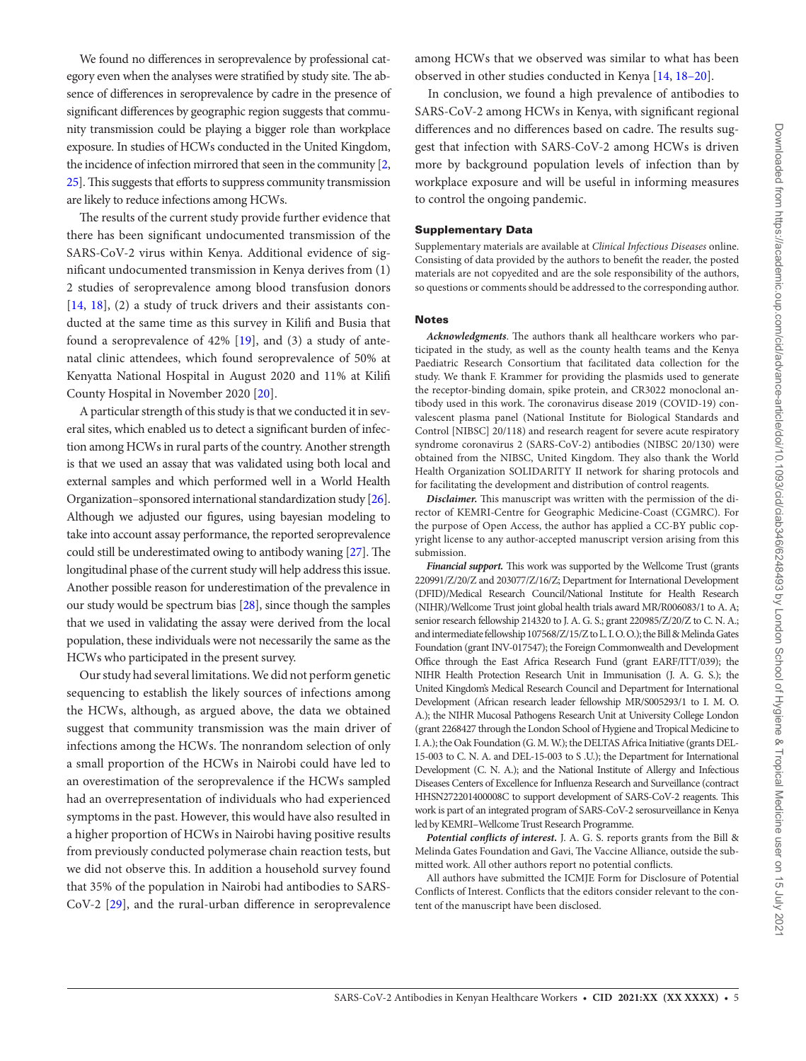We found no differences in seroprevalence by professional category even when the analyses were stratified by study site. The absence of differences in seroprevalence by cadre in the presence of significant differences by geographic region suggests that community transmission could be playing a bigger role than workplace exposure. In studies of HCWs conducted in the United Kingdom, the incidence of infection mirrored that seen in the community [\[2,](#page-5-1) [25\]](#page-5-22). This suggests that efforts to suppress community transmission are likely to reduce infections among HCWs.

The results of the current study provide further evidence that there has been significant undocumented transmission of the SARS-CoV-2 virus within Kenya. Additional evidence of significant undocumented transmission in Kenya derives from (1) 2 studies of seroprevalence among blood transfusion donors [\[14](#page-5-12), [18\]](#page-5-16), (2) a study of truck drivers and their assistants conducted at the same time as this survey in Kilifi and Busia that found a seroprevalence of 42% [\[19](#page-5-23)], and (3) a study of antenatal clinic attendees, which found seroprevalence of 50% at Kenyatta National Hospital in August 2020 and 11% at Kilifi County Hospital in November 2020 [[20](#page-5-17)].

A particular strength of this study is that we conducted it in several sites, which enabled us to detect a significant burden of infection among HCWs in rural parts of the country. Another strength is that we used an assay that was validated using both local and external samples and which performed well in a World Health Organization–sponsored international standardization study [[26\]](#page-5-24). Although we adjusted our figures, using bayesian modeling to take into account assay performance, the reported seroprevalence could still be underestimated owing to antibody waning [\[27\]](#page-5-25). The longitudinal phase of the current study will help address this issue. Another possible reason for underestimation of the prevalence in our study would be spectrum bias [\[28](#page-5-26)], since though the samples that we used in validating the assay were derived from the local population, these individuals were not necessarily the same as the HCWs who participated in the present survey.

Our study had several limitations. We did not perform genetic sequencing to establish the likely sources of infections among the HCWs, although, as argued above, the data we obtained suggest that community transmission was the main driver of infections among the HCWs. The nonrandom selection of only a small proportion of the HCWs in Nairobi could have led to an overestimation of the seroprevalence if the HCWs sampled had an overrepresentation of individuals who had experienced symptoms in the past. However, this would have also resulted in a higher proportion of HCWs in Nairobi having positive results from previously conducted polymerase chain reaction tests, but we did not observe this. In addition a household survey found that 35% of the population in Nairobi had antibodies to SARS-CoV-2 [[29](#page-5-27)], and the rural-urban difference in seroprevalence

among HCWs that we observed was similar to what has been observed in other studies conducted in Kenya [[14,](#page-5-12) [18](#page-5-16)[–20](#page-5-17)].

In conclusion, we found a high prevalence of antibodies to SARS-CoV-2 among HCWs in Kenya, with significant regional differences and no differences based on cadre. The results suggest that infection with SARS-CoV-2 among HCWs is driven more by background population levels of infection than by workplace exposure and will be useful in informing measures to control the ongoing pandemic.

# Supplementary Data

Supplementary materials are available at *Clinical Infectious Diseases* online. Consisting of data provided by the authors to benefit the reader, the posted materials are not copyedited and are the sole responsibility of the authors, so questions or comments should be addressed to the corresponding author.

#### Notes

*Acknowledgments*. The authors thank all healthcare workers who participated in the study, as well as the county health teams and the Kenya Paediatric Research Consortium that facilitated data collection for the study. We thank F. Krammer for providing the plasmids used to generate the receptor-binding domain, spike protein, and CR3022 monoclonal antibody used in this work. The coronavirus disease 2019 (COVID-19) convalescent plasma panel (National Institute for Biological Standards and Control [NIBSC] 20/118) and research reagent for severe acute respiratory syndrome coronavirus 2 (SARS-CoV-2) antibodies (NIBSC 20/130) were obtained from the NIBSC, United Kingdom. They also thank the World Health Organization SOLIDARITY II network for sharing protocols and for facilitating the development and distribution of control reagents.

*Disclaimer.* This manuscript was written with the permission of the director of KEMRI-Centre for Geographic Medicine-Coast (CGMRC). For the purpose of Open Access, the author has applied a CC-BY public copyright license to any author-accepted manuscript version arising from this submission.

*Financial support.* This work was supported by the Wellcome Trust (grants 220991/Z/20/Z and 203077/Z/16/Z; Department for International Development (DFID)/Medical Research Council/National Institute for Health Research (NIHR)/Wellcome Trust joint global health trials award MR/R006083/1 to A. A; senior research fellowship 214320 to J. A. G. S.; grant 220985/Z/20/Z to C. N. A.; and intermediate fellowship 107568/Z/15/Z to L. I. O. O.); the Bill & Melinda Gates Foundation (grant INV-017547); the Foreign Commonwealth and Development Office through the East Africa Research Fund (grant EARF/ITT/039); the NIHR Health Protection Research Unit in Immunisation (J. A. G. S.); the United Kingdom's Medical Research Council and Department for International Development (African research leader fellowship MR/S005293/1 to I. M. O. A.); the NIHR Mucosal Pathogens Research Unit at University College London (grant 2268427 through the London School of Hygiene and Tropical Medicine to I. A.); the Oak Foundation (G. M. W.); the DELTAS Africa Initiative (grants DEL-15-003 to C. N. A. and DEL-15-003 to S .U.); the Department for International Development (C. N. A.); and the National Institute of Allergy and Infectious Diseases Centers of Excellence for Influenza Research and Surveillance (contract HHSN272201400008C to support development of SARS-CoV-2 reagents. This work is part of an integrated program of SARS-CoV-2 serosurveillance in Kenya led by KEMRI–Wellcome Trust Research Programme.

*Potential conflicts of interest.* J. A. G. S. reports grants from the Bill & Melinda Gates Foundation and Gavi, The Vaccine Alliance, outside the submitted work. All other authors report no potential conflicts.

All authors have submitted the ICMJE Form for Disclosure of Potential Conflicts of Interest. Conflicts that the editors consider relevant to the content of the manuscript have been disclosed.